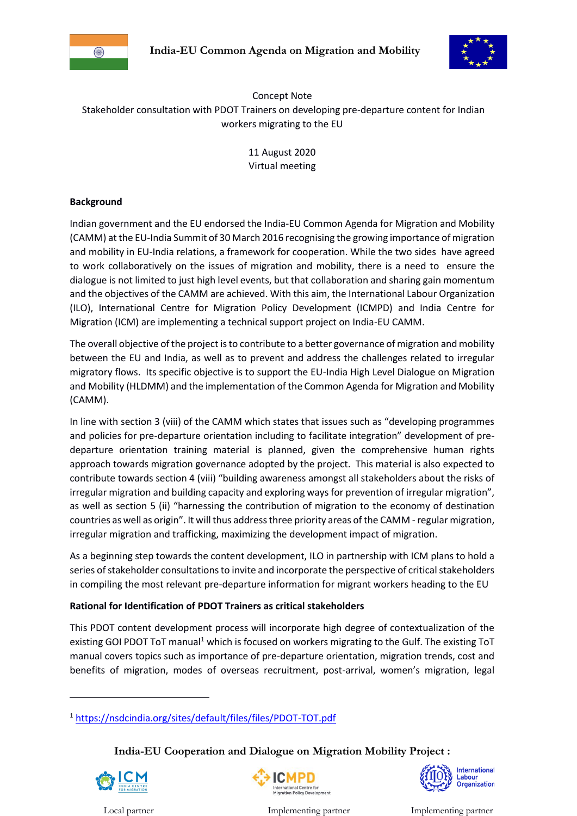



Concept Note Stakeholder consultation with PDOT Trainers on developing pre-departure content for Indian workers migrating to the EU

> 11 August 2020 Virtual meeting

## **Background**

Indian government and the EU endorsed the India-EU Common Agenda for Migration and Mobility (CAMM) at the EU-India Summit of 30 March 2016 recognising the growing importance of migration and mobility in EU-India relations, a framework for cooperation. While the two sides have agreed to work collaboratively on the issues of migration and mobility, there is a need to ensure the dialogue is not limited to just high level events, but that collaboration and sharing gain momentum and the objectives of the CAMM are achieved. With this aim, the International Labour Organization (ILO), International Centre for Migration Policy Development (ICMPD) and India Centre for Migration (ICM) are implementing a technical support project on India-EU CAMM.

The overall objective of the project is to contribute to a better governance of migration and mobility between the EU and India, as well as to prevent and address the challenges related to irregular migratory flows. Its specific objective is to support the EU-India High Level Dialogue on Migration and Mobility (HLDMM) and the implementation of the Common Agenda for Migration and Mobility (CAMM).

In line with section 3 (viii) of the CAMM which states that issues such as "developing programmes and policies for pre-departure orientation including to facilitate integration" development of predeparture orientation training material is planned, given the comprehensive human rights approach towards migration governance adopted by the project. This material is also expected to contribute towards section 4 (viii) "building awareness amongst all stakeholders about the risks of irregular migration and building capacity and exploring ways for prevention of irregular migration", as well as section 5 (ii) "harnessing the contribution of migration to the economy of destination countries as well as origin". It will thus address three priority areas of the CAMM - regular migration, irregular migration and trafficking, maximizing the development impact of migration.

As a beginning step towards the content development, ILO in partnership with ICM plans to hold a series of stakeholder consultations to invite and incorporate the perspective of critical stakeholders in compiling the most relevant pre-departure information for migrant workers heading to the EU

# **Rational for Identification of PDOT Trainers as critical stakeholders**

This PDOT content development process will incorporate high degree of contextualization of the existing GOI PDOT ToT manual<sup>1</sup> which is focused on workers migrating to the Gulf. The existing ToT manual covers topics such as importance of pre-departure orientation, migration trends, cost and benefits of migration, modes of overseas recruitment, post-arrival, women's migration, legal

**India-EU Cooperation and Dialogue on Migration Mobility Project :** 



1



International Labour<br>Organization

<sup>1</sup> <https://nsdcindia.org/sites/default/files/files/PDOT-TOT.pdf>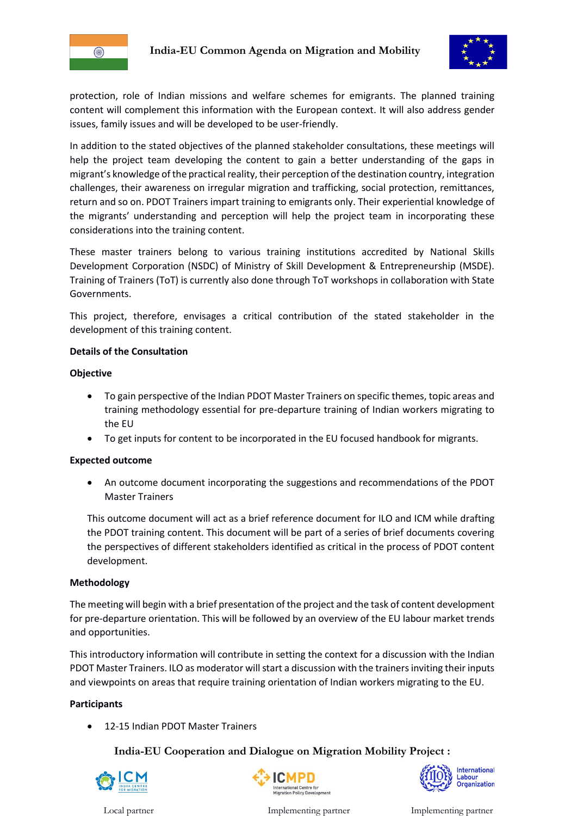



protection, role of Indian missions and welfare schemes for emigrants. The planned training content will complement this information with the European context. It will also address gender issues, family issues and will be developed to be user-friendly.

In addition to the stated objectives of the planned stakeholder consultations, these meetings will help the project team developing the content to gain a better understanding of the gaps in migrant's knowledge of the practical reality, their perception of the destination country, integration challenges, their awareness on irregular migration and trafficking, social protection, remittances, return and so on. PDOT Trainers impart training to emigrants only. Their experiential knowledge of the migrants' understanding and perception will help the project team in incorporating these considerations into the training content.

These master trainers belong to various training institutions accredited by National Skills Development Corporation (NSDC) of Ministry of Skill Development & Entrepreneurship (MSDE). Training of Trainers (ToT) is currently also done through ToT workshops in collaboration with State Governments.

This project, therefore, envisages a critical contribution of the stated stakeholder in the development of this training content.

### **Details of the Consultation**

### **Objective**

- To gain perspective of the Indian PDOT Master Trainers on specific themes, topic areas and training methodology essential for pre-departure training of Indian workers migrating to the EU
- To get inputs for content to be incorporated in the EU focused handbook for migrants.

### **Expected outcome**

 An outcome document incorporating the suggestions and recommendations of the PDOT Master Trainers

This outcome document will act as a brief reference document for ILO and ICM while drafting the PDOT training content. This document will be part of a series of brief documents covering the perspectives of different stakeholders identified as critical in the process of PDOT content development.

### **Methodology**

The meeting will begin with a brief presentation of the project and the task of content development for pre-departure orientation. This will be followed by an overview of the EU labour market trends and opportunities.

This introductory information will contribute in setting the context for a discussion with the Indian PDOT Master Trainers. ILO as moderator will start a discussion with the trainers inviting their inputs and viewpoints on areas that require training orientation of Indian workers migrating to the EU.

### **Participants**

12-15 Indian PDOT Master Trainers

**India-EU Cooperation and Dialogue on Migration Mobility Project :** 







Local partner Implementing partner Implementing partner